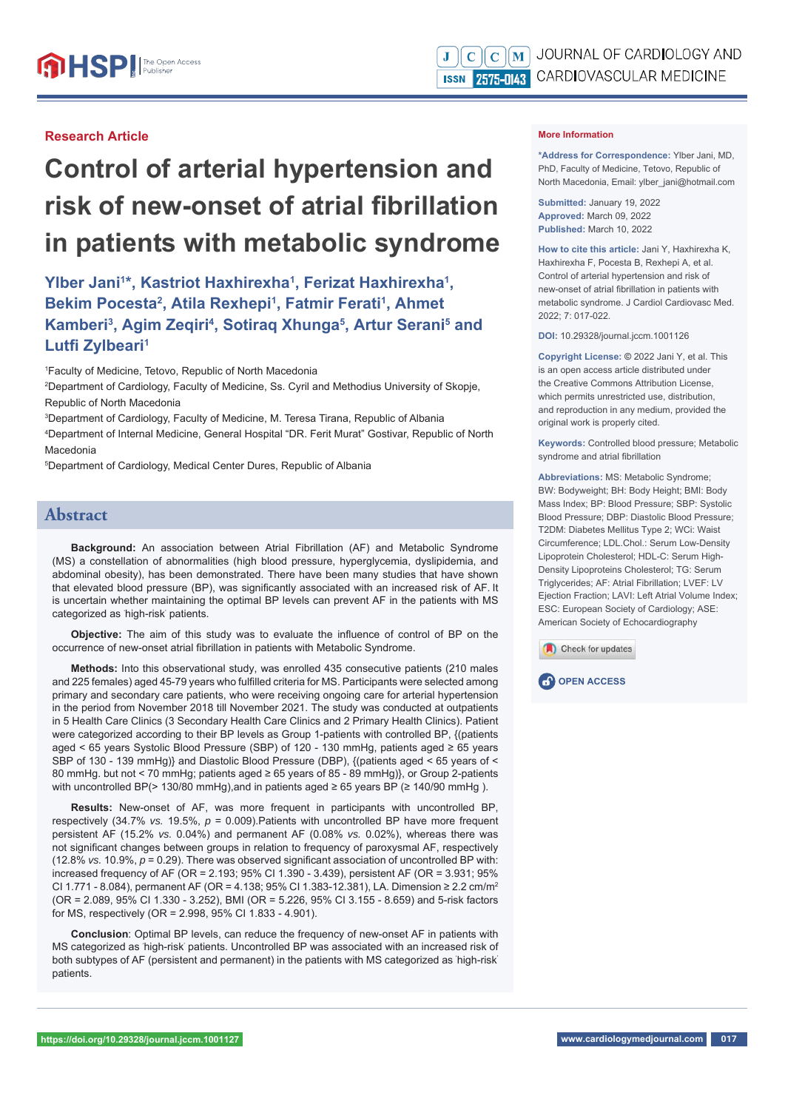## **Research Article**

# **Control of arterial hypertension and risk of new-onset of atrial fibrillation in patients with metabolic syndrome**

Ylber Jani<sup>1\*</sup>, Kastriot Haxhirexha<sup>1</sup>, Ferizat Haxhirexha<sup>1</sup>, Bekim Pocesta<sup>2</sup>, Atila Rexhepi<sup>1</sup>, Fatmir Ferati<sup>1</sup>, Ahmet **Kamberi<sup>3</sup>, Agim Zeqiri<sup>4</sup>, Sotiraq Xhunga<sup>5</sup>, Artur Serani<sup>5</sup> and Lutfi Zylbeari1**

1 Faculty of Medicine, Tetovo, Republic of North Macedonia

2 Department of Cardiology, Faculty of Medicine, Ss. Cyril and Methodius University of Skopje, Republic of North Macedonia

3 Department of Cardiology, Faculty of Medicine, M. Teresa Tirana, Republic of Albania

4 Department of Internal Medicine, General Hospital "DR. Ferit Murat" Gostivar, Republic of North Macedonia

5 Department of Cardiology, Medical Center Dures, Republic of Albania

## **Abstract**

**Background:** An association between Atrial Fibrillation (AF) and Metabolic Syndrome (MS) a constellation of abnormalities (high blood pressure, hyperglycemia, dyslipidemia, and abdominal obesity), has been demonstrated. There have been many studies that have shown that elevated blood pressure (BP), was significantly associated with an increased risk of AF. It is uncertain whether maintaining the optimal BP levels can prevent AF in the patients with MS categorized as ' high-risk' patients.

**Objective:** The aim of this study was to evaluate the influence of control of BP on the occurrence of new-onset atrial fibrillation in patients with Metabolic Syndrome.

**Methods:** Into this observational study, was enrolled 435 consecutive patients (210 males and 225 females) aged 45-79 years who fulfilled criteria for MS. Participants were selected among primary and secondary care patients, who were receiving ongoing care for arterial hypertension in the period from November 2018 till November 2021. The study was conducted at outpatients in 5 Health Care Clinics (3 Secondary Health Care Clinics and 2 Primary Health Clinics). Patient were categorized according to their BP levels as Group 1-patients with controlled BP, {(patients aged < 65 years Systolic Blood Pressure (SBP) of 120 - 130 mmHg, patients aged ≥ 65 years SBP of 130 - 139 mmHg)} and Diastolic Blood Pressure (DBP), {(patients aged < 65 years of < 80 mmHg. but not < 70 mmHg; patients aged ≥ 65 years of 85 - 89 mmHg)}, or Group 2-patients with uncontrolled BP(> 130/80 mmHg), and in patients aged  $\geq 65$  years BP ( $\geq 140/90$  mmHg).

**Results:** New-onset of AF, was more frequent in participants with uncontrolled BP, respectively (34.7% *vs.* 19.5%, *p* = 0.009).Patients with uncontrolled BP have more frequent persistent AF (15.2% *vs.* 0.04%) and permanent AF (0.08% *vs.* 0.02%), whereas there was not significant changes between groups in relation to frequency of paroxysmal AF, respectively  $(12.8\% \text{ vs. } 10.9\%, p = 0.29)$ . There was observed significant association of uncontrolled BP with: increased frequency of AF (OR = 2.193; 95% CI 1.390 - 3.439), persistent AF (OR = 3.931; 95% CI 1.771 - 8.084), permanent AF (OR = 4.138; 95% CI 1.383-12.381), LA. Dimension ≥ 2.2 cm/m2 (OR = 2.089, 95% CI 1.330 - 3.252), BMI (OR = 5.226, 95% CI 3.155 - 8.659) and 5-risk factors for MS, respectively (OR = 2.998, 95% CI 1.833 - 4.901).

**Conclusion**: Optimal BP levels, can reduce the frequency of new-onset AF in patients with MS categorized as 'high-risk' patients. Uncontrolled BP was associated with an increased risk of both subtypes of AF (persistent and permanent) in the patients with MS categorized as ' high-risk' patients.

#### **More Information**

**\*Address for Correspondence:** Ylber Jani, MD, PhD, Faculty of Medicine, Tetovo, Republic of North Macedonia, Email: ylber\_jani@hotmail.com

**Submitted:** January 19, 2022 **Approved:** March 09, 2022 **Published:** March 10, 2022

**How to cite this article:** Jani Y, Haxhirexha K, Haxhirexha F, Pocesta B, Rexhepi A, et al. Control of arterial hypertension and risk of new-onset of atrial fibrillation in patients with metabolic syndrome. J Cardiol Cardiovasc Med. 2022; 7: 017-022.

**DOI:** 10.29328/journal.jccm.1001126

**Copyright License: ©** 2022 Jani Y, et al. This is an open access article distributed under the Creative Commons Attribution License, which permits unrestricted use, distribution, and reproduction in any medium, provided the original work is properly cited.

**Keywords:** Controlled blood pressure; Metabolic syndrome and atrial fibrillation

**Abbreviations:** MS: Metabolic Syndrome; BW: Bodyweight; BH: Body Height; BMI: Body Mass Index; BP: Blood Pressure; SBP: Systolic Blood Pressure; DBP: Diastolic Blood Pressure; T2DM: Diabetes Mellitus Type 2; WCi: Waist Circumference; LDL.Chol.: Serum Low-Density Lipoprotein Cholesterol; HDL-C: Serum High-Density Lipoproteins Cholesterol; TG: Serum Triglycerides; AF: Atrial Fibrillation; LVEF: LV Ejection Fraction; LAVI: Left Atrial Volume Index; ESC: European Society of Cardiology; ASE: American Society of Echocardiography

Check for updates



**https://doi.org/10.29328/journal.jccm.1001127 www.cardiologymedjournal.com 017**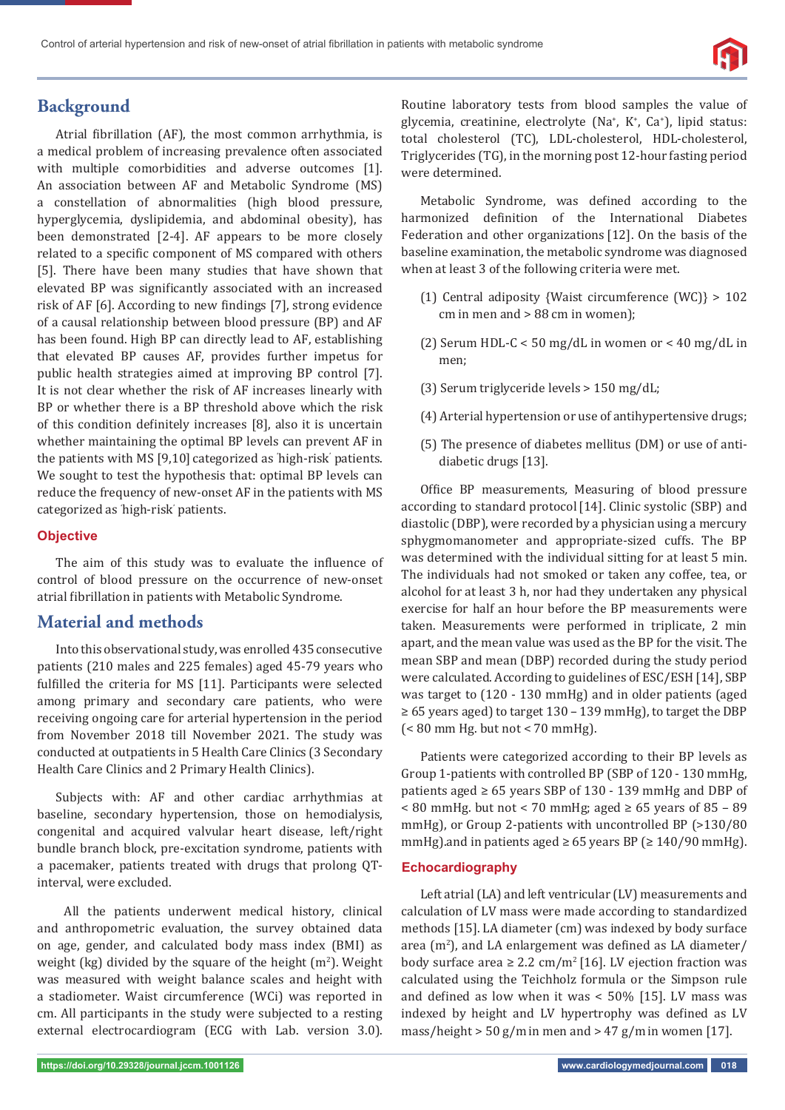

# **Background**

Atrial fibrillation (AF), the most common arrhythmia, is a medical problem of increasing prevalence often associated with multiple comorbidities and adverse outcomes [1]. An association between AF and Metabolic Syndrome (MS) a constellation of abnormalities (high blood pressure, hyperglycemia, dyslipidemia, and abdominal obesity), has been demonstrated [2-4]. AF appears to be more closely related to a specific component of MS compared with others [5]. There have been many studies that have shown that elevated BP was significantly associated with an increased risk of AF [6]. According to new findings [7], strong evidence of a causal relationship between blood pressure (BP) and AF has been found. High BP can directly lead to AF, establishing that elevated BP causes AF, provides further impetus for public health strategies aimed at improving BP control [7]. It is not clear whether the risk of AF increases linearly with BP or whether there is a BP threshold above which the risk of this condition definitely increases [8], also it is uncertain whether maintaining the optimal BP levels can prevent AF in the patients with MS [9,10] categorized as ' high-risk' patients. We sought to test the hypothesis that: optimal BP levels can reduce the frequency of new-onset AF in the patients with MS categorized as ' high-risk' patients.

### **Objective**

The aim of this study was to evaluate the influence of control of blood pressure on the occurrence of new-onset atrial fibrillation in patients with Metabolic Syndrome.

## **Material and methods**

Into this observational study, was enrolled 435 consecutive patients (210 males and 225 females) aged 45-79 years who fulfilled the criteria for MS [11]. Participants were selected among primary and secondary care patients, who were receiving ongoing care for arterial hypertension in the period from November 2018 till November 2021. The study was conducted at outpatients in 5 Health Care Clinics (3 Secondary Health Care Clinics and 2 Primary Health Clinics).

Subjects with: AF and other cardiac arrhythmias at baseline, secondary hypertension, those on hemodialysis, congenital and acquired valvular heart disease, left/right bundle branch block, pre-excitation syndrome, patients with a pacemaker, patients treated with drugs that prolong QTinterval, were excluded.

 All the patients underwent medical history, clinical and anthropometric evaluation, the survey obtained data on age, gender, and calculated body mass index (BMI) as weight (kg) divided by the square of the height  $(m<sup>2</sup>)$ . Weight was measured with weight balance scales and height with a stadiometer. Waist circumference (WCi) was reported in cm. All participants in the study were subjected to a resting external electrocardiogram (ECG with Lab. version 3.0).

Routine laboratory tests from blood samples the value of glycemia, creatinine, electrolyte (Na<sup>+</sup>, K<sup>+</sup>, Ca<sup>+</sup>), lipid status: total cholesterol (TC), LDL-cholesterol, HDL-cholesterol, Triglycerides (TG), in the morning post 12-hour fasting period were determined.

Metabolic Syndrome, was defined according to the harmonized definition of the International Diabetes Federation and other organizations [12]. On the basis of the baseline examination, the metabolic syndrome was diagnosed when at least 3 of the following criteria were met.

- (1) Central adiposity {Waist circumference (WC)} > 102 cm in men and > 88 cm in women);
- (2) Serum HDL-C < 50 mg/dL in women or < 40 mg/dL in men;
- (3) Serum triglyceride levels > 150 mg/dL;
- (4) Arterial hypertension or use of antihypertensive drugs;
- (5) The presence of diabetes mellitus (DM) or use of antidiabetic drugs [13].

Office BP measurements, Measuring of blood pressure according to standard protocol [14]. Clinic systolic (SBP) and diastolic (DBP), were recorded by a physician using a mercury sphygmomanometer and appropriate-sized cuffs. The BP was determined with the individual sitting for at least 5 min. The individuals had not smoked or taken any coffee, tea, or alcohol for at least 3 h, nor had they undertaken any physical exercise for half an hour before the BP measurements were taken. Measurements were performed in triplicate, 2 min apart, and the mean value was used as the BP for the visit. The mean SBP and mean (DBP) recorded during the study period were calculated. According to guidelines of ESC/ESH [14], SBP was target to (120 - 130 mmHg) and in older patients (aged ≥ 65 years aged) to target 130 – 139 mmHg), to target the DBP (< 80 mm Hg. but not < 70 mmHg).

Patients were categorized according to their BP levels as Group 1-patients with controlled BP (SBP of 120 - 130 mmHg, patients aged ≥ 65 years SBP of 130 - 139 mmHg and DBP of < 80 mmHg. but not < 70 mmHg; aged ≥ 65 years of 85 – 89 mmHg), or Group 2-patients with uncontrolled BP (>130/80 mmHg).and in patients aged  $\geq 65$  years BP ( $\geq 140/90$  mmHg).

### **Echocardiography**

Left atrial (LA) and left ventricular (LV) measurements and calculation of LV mass were made according to standardized methods [15]. LA diameter (cm) was indexed by body surface area  $(m<sup>2</sup>)$ , and LA enlargement was defined as LA diameter/ body surface area  $\geq 2.2$  cm/m<sup>2</sup> [16]. LV ejection fraction was calculated using the Teichholz formula or the Simpson rule and defined as low when it was  $<$  50% [15]. LV mass was indexed by height and LV hypertrophy was defined as LV mass/height  $> 50$  g/m in men and  $> 47$  g/m in women [17].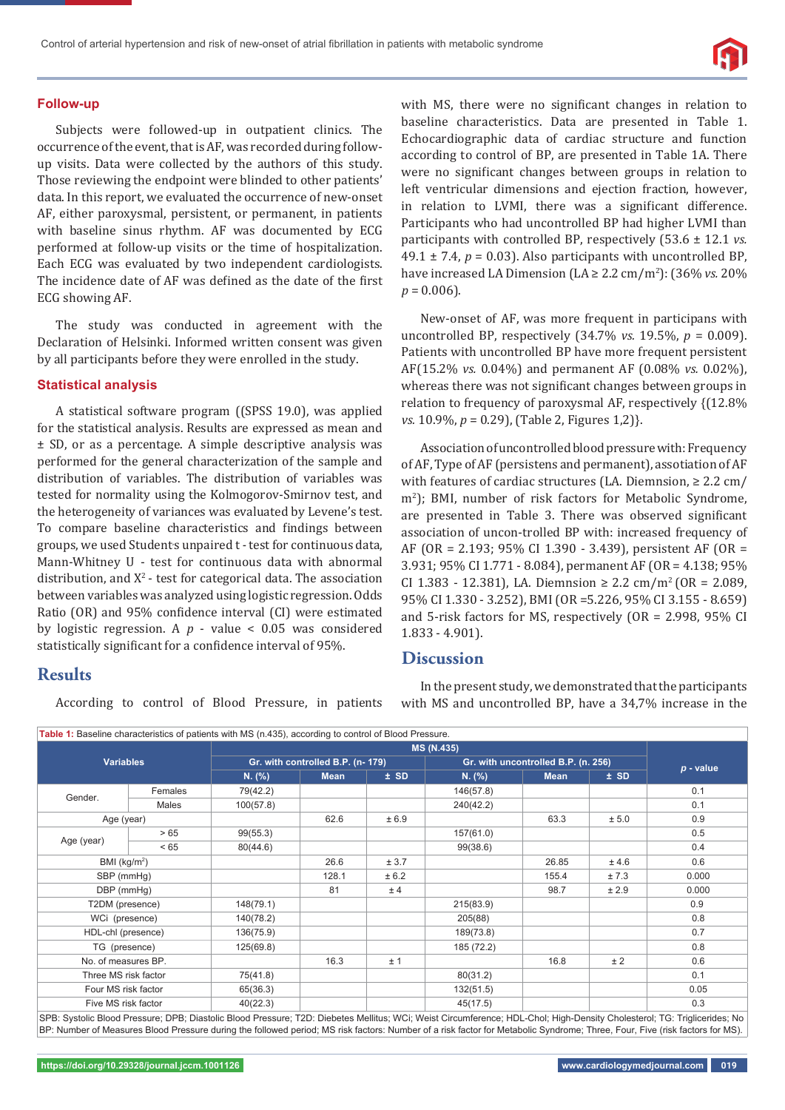

#### **Follow-up**

Subjects were followed-up in outpatient clinics. The occurrence of the event, that is AF, was recorded during followup visits. Data were collected by the authors of this study. Those reviewing the endpoint were blinded to other patients' data. In this report, we evaluated the occurrence of new-onset AF, either paroxysmal, persistent, or permanent, in patients with baseline sinus rhythm. AF was documented by ECG performed at follow-up visits or the time of hospitalization. Each ECG was evaluated by two independent cardiologists. The incidence date of AF was defined as the date of the first ECG showing AF.

The study was conducted in agreement with the Declaration of Helsinki. Informed written consent was given by all participants before they were enrolled in the study.

#### **Statistical analysis**

A statistical software program ((SPSS 19.0), was applied for the statistical analysis. Results are expressed as mean and ± SD, or as a percentage. A simple descriptive analysis was performed for the general characterization of the sample and distribution of variables. The distribution of variables was tested for normality using the Kolmogorov-Smirnov test, and the heterogeneity of variances was evaluated by Levene's test. To compare baseline characteristics and findings between groups, we used Students unpaired t - test for continuous data, Mann-Whitney U - test for continuous data with abnormal distribution, and  $X^2$ - test for categorical data. The association between variables was analyzed using logistic regression. Odds Ratio (OR) and 95% confidence interval (CI) were estimated by logistic regression. A *p* - value < 0.05 was considered statistically significant for a confidence interval of 95%.

## **Results**

According to control of Blood Pressure, in patients

with MS, there were no significant changes in relation to baseline characteristics. Data are presented in Table 1. Echocardiographic data of cardiac structure and function according to control of BP, are presented in Table 1A. There were no significant changes between groups in relation to left ventricular dimensions and ejection fraction, however, in relation to LVMI, there was a significant difference. Participants who had uncontrolled BP had higher LVMI than participants with controlled BP, respectively (53.6 ± 12.1 *vs.*  49.1  $\pm$  7.4,  $p = 0.03$ ). Also participants with uncontrolled BP, have increased LA Dimension (LA ≥ 2.2 cm/m2 ): (36% *vs.* 20%  $p = 0.006$ ).

New-onset of AF, was more frequent in participans with uncontrolled BP, respectively (34.7% *vs.* 19.5%, *p* = 0.009). Patients with uncontrolled BP have more frequent persistent AF(15.2% *vs.* 0.04%) and permanent AF (0.08% *vs.* 0.02%), whereas there was not significant changes between groups in relation to frequency of paroxysmal AF, respectively {(12.8% *vs.* 10.9%, *p* = 0.29), (Table 2, Figures 1,2)}.

Association of uncontrolled blood pressure with: Frequency of AF, Type of AF (persistens and permanent), assotiation of AF with features of cardiac structures (LA. Diemnsion,  $\geq 2.2$  cm/ m2 ); BMI, number of risk factors for Metabolic Syndrome, are presented in Table 3. There was observed significant association of uncon-trolled BP with: increased frequency of AF (OR = 2.193; 95% CI 1.390 - 3.439), persistent AF (OR = 3.931; 95% CI 1.771 - 8.084), permanent AF (OR = 4.138; 95% CI 1.383 - 12.381), LA. Diemnsion  $\geq 2.2$  cm/m<sup>2</sup> (OR = 2.089, 95% CI 1.330 - 3.252), BMI (OR =5.226, 95% CI 3.155 - 8.659) and 5-risk factors for MS, respectively (OR = 2.998, 95% CI 1.833 - 4.901).

## **Discussion**

In the present study, we demonstrated that the participants with MS and uncontrolled BP, have a 34,7% increase in the

|                      |         | <b>MS (N.435)</b>                 |             |                                     |            |             |        |       |
|----------------------|---------|-----------------------------------|-------------|-------------------------------------|------------|-------------|--------|-------|
| <b>Variables</b>     |         | Gr. with controlled B.P. (n- 179) |             | Gr. with uncontrolled B.P. (n. 256) |            | $p$ - value |        |       |
|                      |         | N. (%)                            | <b>Mean</b> | $±$ SD                              | $N.$ (%)   | <b>Mean</b> | $±$ SD |       |
| Gender.              | Females | 79(42.2)                          |             |                                     | 146(57.8)  |             |        | 0.1   |
|                      | Males   | 100(57.8)                         |             |                                     | 240(42.2)  |             |        | 0.1   |
| Age (year)           |         |                                   | 62.6        | ± 6.9                               |            | 63.3        | ± 5.0  | 0.9   |
| Age (year)           | >65     | 99(55.3)                          |             |                                     | 157(61.0)  |             |        | 0.5   |
|                      | < 65    | 80(44.6)                          |             |                                     | 99(38.6)   |             |        | 0.4   |
| BMI ( $kg/m2$ )      |         |                                   | 26.6        | ± 3.7                               |            | 26.85       | ± 4.6  | 0.6   |
| SBP (mmHg)           |         |                                   | 128.1       | ± 6.2                               |            | 155.4       | ±7.3   | 0.000 |
| DBP (mmHq)           |         |                                   | 81          | ± 4                                 |            | 98.7        | ± 2.9  | 0.000 |
| T2DM (presence)      |         | 148(79.1)                         |             |                                     | 215(83.9)  |             |        | 0.9   |
| WCi (presence)       |         | 140(78.2)                         |             |                                     | 205(88)    |             |        | 0.8   |
| HDL-chl (presence)   |         | 136(75.9)                         |             |                                     | 189(73.8)  |             |        | 0.7   |
| TG (presence)        |         | 125(69.8)                         |             |                                     | 185 (72.2) |             |        | 0.8   |
| No. of measures BP.  |         |                                   | 16.3        | ±1                                  |            | 16.8        | ± 2    | 0.6   |
| Three MS risk factor |         | 75(41.8)                          |             |                                     | 80(31.2)   |             |        | 0.1   |
| Four MS risk factor  |         | 65(36.3)                          |             |                                     | 132(51.5)  |             |        | 0.05  |
| Five MS risk factor  |         | 40(22.3)                          |             |                                     | 45(17.5)   |             |        | 0.3   |

SPB: Systolic Blood Pressure; DPB; Diastolic Blood Pressure; T2D: Diebetes Mellitus; WCi; Weist Circumference; HDL-Chol; High-Density Cholesterol; TG: Triglicerides; No BP: Number of Measures Blood Pressure during the followed period; MS risk factors: Number of a risk factor for Metabolic Syndrome; Three, Four, Five (risk factors for MS).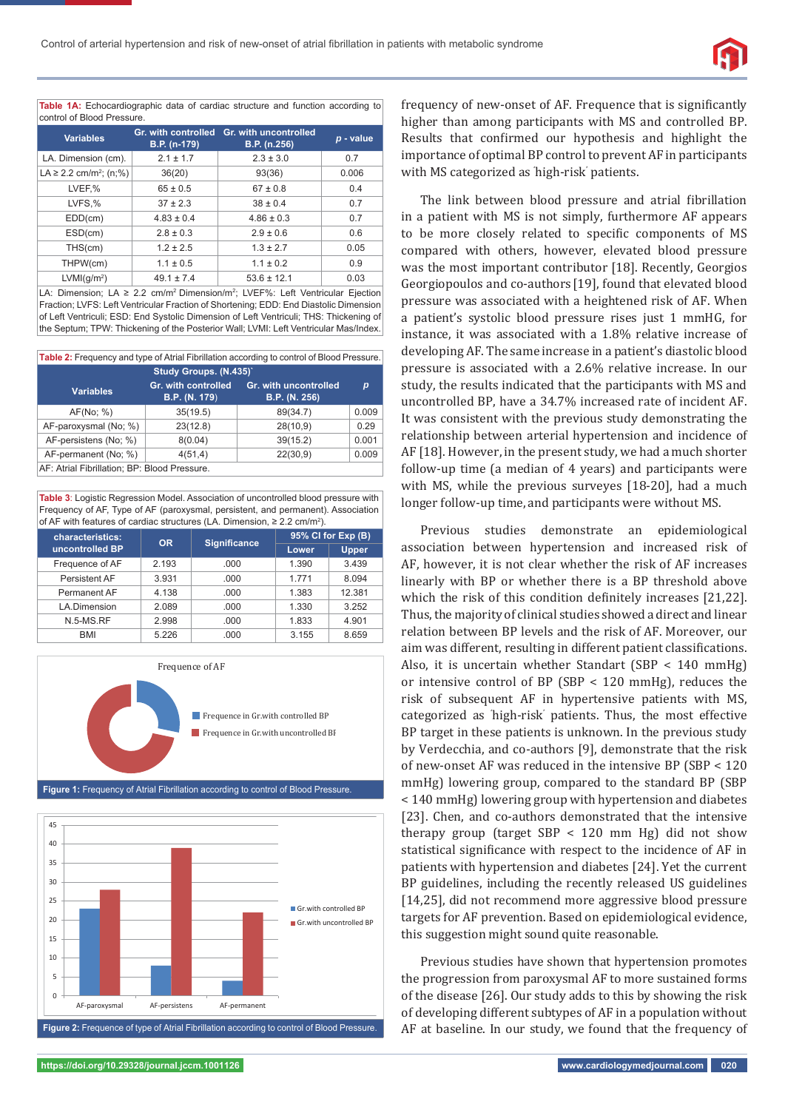**Table 1A:** Echocardiographic data of cardiac structure and function according to control of Blood Pressure.

| <b>Variables</b>                        | Gr. with controlled<br>B.P. (n-179) | Gr. with uncontrolled<br>B.P. (n.256) | p - value |
|-----------------------------------------|-------------------------------------|---------------------------------------|-----------|
| LA. Dimension (cm).                     | $2.1 \pm 1.7$                       | $2.3 \pm 3.0$                         | 0.7       |
| LA $\geq$ 2.2 cm/m <sup>2</sup> ; (n;%) | 36(20)                              | 93(36)                                | 0.006     |
| LVEF,%                                  | $65 \pm 0.5$                        | $67 \pm 0.8$                          | 0.4       |
| LVFS,%                                  | $37 \pm 2.3$                        | $38 \pm 0.4$                          | 0.7       |
| EDD(cm)                                 | $4.83 \pm 0.4$                      | $4.86 \pm 0.3$                        | 0.7       |
| ESD(cm)                                 | $2.8 \pm 0.3$                       | $2.9 \pm 0.6$                         | 0.6       |
| THS(cm)                                 | $1.2 \pm 2.5$                       | $1.3 \pm 2.7$                         | 0.05      |
| THPW(cm)                                | $1.1 \pm 0.5$                       | $1.1 \pm 0.2$                         | 0.9       |
| LVMI(q/m <sup>2</sup> )                 | $49.1 \pm 7.4$                      | $53.6 \pm 12.1$                       | 0.03      |

LA: Dimension; LA ≥ 2.2 cm/m<sup>2</sup> Dimension/m<sup>2</sup>; LVEF%: Left Ventricular Ejection Fraction; LVFS: Left Ventricular Fraction of Shortening; EDD: End Diastolic Dimension of Left Ventriculi; ESD: End Systolic Dimension of Left Ventriculi; THS: Thickening of the Septum; TPW: Thickening of the Posterior Wall; LVMI: Left Ventricular Mas/Index.

| Table 2: Frequency and type of Atrial Fibrillation according to control of Blood Pressure. |                                             |                                        |       |  |  |  |
|--------------------------------------------------------------------------------------------|---------------------------------------------|----------------------------------------|-------|--|--|--|
| Study Groups. (N.435)'                                                                     |                                             |                                        |       |  |  |  |
| <b>Variables</b>                                                                           | Gr. with controlled<br><b>B.P.</b> (N. 179) | Gr. with uncontrolled<br>B.P. (N. 256) | p     |  |  |  |
| AF(No; %)                                                                                  | 35(19.5)                                    | 89(34.7)                               | 0.009 |  |  |  |
| AF-paroxysmal (No; %)                                                                      | 23(12.8)                                    | 28(10,9)                               | 0.29  |  |  |  |
| AF-persistens (No; %)                                                                      | 8(0.04)                                     | 39(15.2)                               | 0.001 |  |  |  |
| AF-permanent (No; %)                                                                       | 4(51,4)                                     | 22(30,9)                               | 0.009 |  |  |  |
| AF: Atrial Fibrillation; BP: Blood Pressure.                                               |                                             |                                        |       |  |  |  |

**Table 3**: Logistic Regression Model. Association of uncontrolled blood pressure with Frequency of AF, Type of AF (paroxysmal, persistent, and permanent). Association of AF with features of cardiac structures (LA. Dimension, ≥ 2.2 cm/m2 ).

| characteristics: | OR.   | <b>Significance</b> | 95% CI for Exp (B) |        |  |
|------------------|-------|---------------------|--------------------|--------|--|
| uncontrolled BP  |       |                     | Lower              | Upper  |  |
| Frequence of AF  | 2.193 | .000                | 1.390              | 3.439  |  |
| Persistent AF    | 3.931 | .000                | 1.771              | 8.094  |  |
| Permanent AF     | 4.138 | .000                | 1.383              | 12.381 |  |
| LA.Dimension     | 2.089 | .000                | 1.330              | 3.252  |  |
| $N.5-MS.RF$      | 2.998 | .000                | 1.833              | 4.901  |  |
| <b>BMI</b>       | 5.226 | .000                | 3.155              | 8.659  |  |



**Figure 1:** Frequency of Atrial Fibrillation according to control of Blood Pressure.



frequency of new-onset of AF. Frequence that is significantly higher than among participants with MS and controlled BP. Results that confirmed our hypothesis and highlight the importance of optimal BP control to prevent AF in participants with MS categorized as ' high-risk' patients.

The link between blood pressure and atrial fibrillation in a patient with MS is not simply, furthermore AF appears to be more closely related to specific components of MS compared with others, however, elevated blood pressure was the most important contributor [18]. Recently, Georgios Georgiopoulos and co-authors [19], found that elevated blood pressure was associated with a heightened risk of AF. When a patient's systolic blood pressure rises just 1 mmHG, for instance, it was associated with a 1.8% relative increase of developing AF. The same increase in a patient's diastolic blood pressure is associated with a 2.6% relative increase. In our study, the results indicated that the participants with MS and uncontrolled BP, have a 34.7% increased rate of incident AF. It was consistent with the previous study demonstrating the relationship between arterial hypertension and incidence of AF [18]. However, in the present study, we had a much shorter follow-up time (a median of 4 years) and participants were with MS, while the previous surveyes [18-20], had a much longer follow-up time, and participants were without MS.

Previous studies demonstrate an epidemiological association between hypertension and increased risk of AF, however, it is not clear whether the risk of AF increases linearly with BP or whether there is a BP threshold above which the risk of this condition definitely increases [21,22]. Thus, the majority of clinical studies showed a direct and linear relation between BP levels and the risk of AF. Moreover, our aim was different, resulting in different patient classifications. Also, it is uncertain whether Standart (SBP < 140 mmHg) or intensive control of BP (SBP < 120 mmHg), reduces the risk of subsequent AF in hypertensive patients with MS, categorized as 'high-risk' patients. Thus, the most effective BP target in these patients is unknown. In the previous study by Verdecchia, and co-authors [9], demonstrate that the risk of new-onset AF was reduced in the intensive BP (SBP < 120 mmHg) lowering group, compared to the standard BP (SBP < 140 mmHg) lowering group with hypertension and diabetes [23]. Chen, and co-authors demonstrated that the intensive therapy group (target SBP < 120 mm Hg) did not show statistical significance with respect to the incidence of AF in patients with hypertension and diabetes [24]. Yet the current BP guidelines, including the recently released US guidelines [14,25], did not recommend more aggressive blood pressure targets for AF prevention. Based on epidemiological evidence, this suggestion might sound quite reasonable.

Previous studies have shown that hypertension promotes the progression from paroxysmal AF to more sustained forms of the disease [26]. Our study adds to this by showing the risk of developing different subtypes of AF in a population without AF at baseline. In our study, we found that the frequency of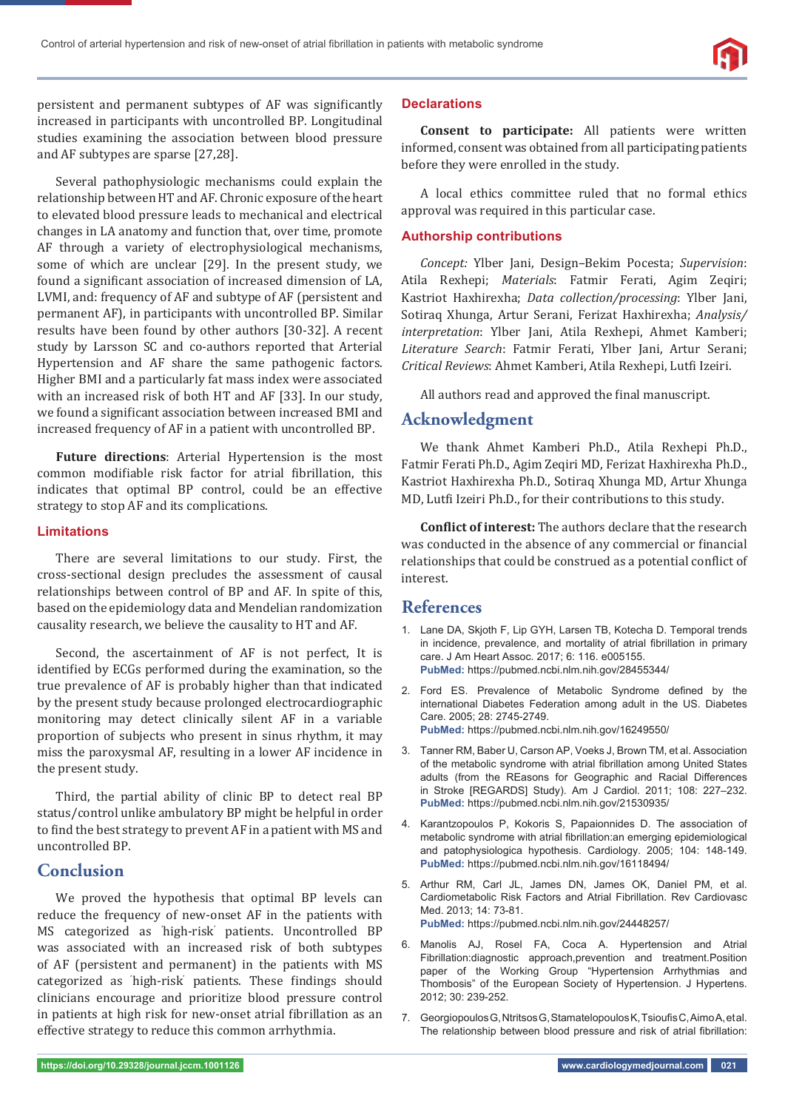persistent and permanent subtypes of AF was significantly increased in participants with uncontrolled BP. Longitudinal studies examining the association between blood pressure and AF subtypes are sparse [27,28].

Several pathophysiologic mechanisms could explain the relationship between HT and AF. Chronic exposure of the heart to elevated blood pressure leads to mechanical and electrical changes in LA anatomy and function that, over time, promote AF through a variety of electrophysiological mechanisms, some of which are unclear [29]. In the present study, we found a significant association of increased dimension of LA, LVMI, and: frequency of AF and subtype of AF (persistent and permanent AF), in participants with uncontrolled BP. Similar results have been found by other authors [30-32]. A recent study by Larsson SC and co-authors reported that Arterial Hypertension and AF share the same pathogenic factors. Higher BMI and a particularly fat mass index were associated with an increased risk of both HT and AF [33]. In our study, we found a significant association between increased BMI and increased frequency of AF in a patient with uncontrolled BP.

**Future directions**: Arterial Hypertension is the most common modifiable risk factor for atrial fibrillation, this indicates that optimal BP control, could be an effective strategy to stop AF and its complications.

#### **Limitations**

There are several limitations to our study. First, the cross-sectional design precludes the assessment of causal relationships between control of BP and AF. In spite of this, based on the epidemiology data and Mendelian randomization causality research, we believe the causality to HT and AF.

Second, the ascertainment of AF is not perfect, It is identified by ECGs performed during the examination, so the true prevalence of AF is probably higher than that indicated by the present study because prolonged electrocardiographic monitoring may detect clinically silent AF in a variable proportion of subjects who present in sinus rhythm, it may miss the paroxysmal AF, resulting in a lower AF incidence in the present study.

Third, the partial ability of clinic BP to detect real BP status/control unlike ambulatory BP might be helpful in order to find the best strategy to prevent AF in a patient with MS and uncontrolled BP.

## **Conclusion**

 We proved the hypothesis that optimal BP levels can reduce the frequency of new-onset AF in the patients with MS categorized as ' high-risk' patients. Uncontrolled BP was associated with an increased risk of both subtypes of AF (persistent and permanent) in the patients with MS categorized as 'high-risk' patients. These findings should clinicians encourage and prioritize blood pressure control in patients at high risk for new-onset atrial fibrillation as an effective strategy to reduce this common arrhythmia.

#### **Declarations**

**Consent to participate:** All patients were written informed, consent was obtained from all participating patients before they were enrolled in the study.

A local ethics committee ruled that no formal ethics approval was required in this particular case.

### **Authorship contributions**

*Concept:* Ylber Jani, Design–Bekim Pocesta; *Supervision*: Atila Rexhepi; *Materials*: Fatmir Ferati, Agim Zeqiri; Kastriot Haxhirexha; *Data collection/processing*: Ylber Jani, Sotiraq Xhunga, Artur Serani, Ferizat Haxhirexha; *Analysis/ interpretation*: Ylber Jani, Atila Rexhepi, Ahmet Kamberi; *Literature Search*: Fatmir Ferati, Ylber Jani, Artur Serani; *Critical Reviews*: Ahmet Kamberi, Atila Rexhepi, Lutfi Izeiri.

All authors read and approved the final manuscript.

## **Acknowledgment**

We thank Ahmet Kamberi Ph.D., Atila Rexhepi Ph.D., Fatmir Ferati Ph.D., Agim Zeqiri MD, Ferizat Haxhirexha Ph.D., Kastriot Haxhirexha Ph.D., Sotiraq Xhunga MD, Artur Xhunga MD, Lutfi Izeiri Ph.D., for their contributions to this study.

**Conflict of interest:** The authors declare that the research was conducted in the absence of any commercial or financial relationships that could be construed as a potential conflict of interest.

## **References**

- 1. Lane DA, Skjoth F, Lip GYH, Larsen TB, Kotecha D. Temporal trends in incidence, prevalence, and mortality of atrial fibrillation in primary care. J Am Heart Assoc. 2017; 6: 116. e005155. **PubMed:** https://pubmed.ncbi.nlm.nih.gov/28455344/
- 2. Ford ES. Prevalence of Metabolic Syndrome defined by the international Diabetes Federation among adult in the US. Diabetes Care. 2005; 28: 2745-2749. **PubMed:** https://pubmed.ncbi.nlm.nih.gov/16249550/
- 3. Tanner RM, Baber U, Carson AP, Voeks J, Brown TM, et al. Association of the metabolic syndrome with atrial fibrillation among United States adults (from the REasons for Geographic and Racial Differences in Stroke [REGARDS] Study). Am J Cardiol. 2011; 108: 227–232. **PubMed:** https://pubmed.ncbi.nlm.nih.gov/21530935/
- 4. Karantzopoulos P, Kokoris S, Papaionnides D. The association of metabolic syndrome with atrial fibrillation: an emerging epidemiological and patophysiologica hypothesis. Cardiology. 2005; 104: 148-149. **PubMed:** https://pubmed.ncbi.nlm.nih.gov/16118494/
- 5. Arthur RM, Carl JL, James DN, James OK, Daniel PM, et al. Cardiometabolic Risk Factors and Atrial Fibrillation. Rev Cardiovasc Med. 2013; 14: 73-81. **PubMed:** https://pubmed.ncbi.nlm.nih.gov/24448257/
- 6. Manolis AJ, Rosel FA, Coca A. Hypertension and Atrial Fibrillation:diagnostic approach,prevention and treatment.Position paper of the Working Group "Hypertension Arrhythmias and Thombosis" of the European Society of Hypertension. J Hypertens. 2012; 30: 239-252.
- 7. Georgiopoulos G, Ntritsos G, Stamatelopoulos K, Tsioufis C, Aimo A, et al. The relationship between blood pressure and risk of atrial fibrillation: